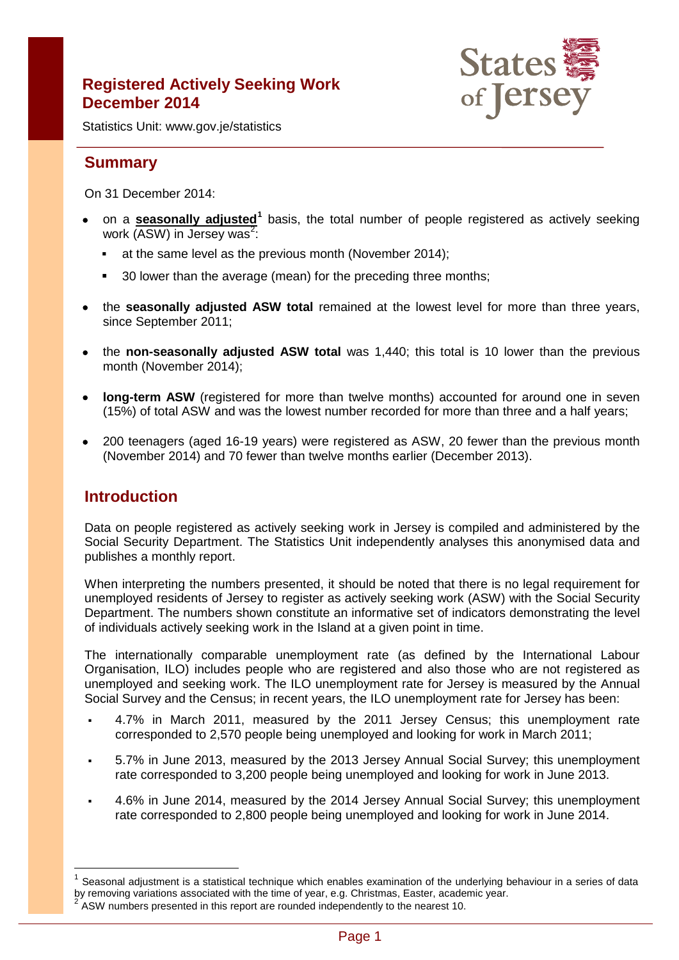# **Registered Actively Seeking Work December 2014**



Statistics Unit: www.gov.je/statistics

# **Summary**

On 31 December 2014:

- on a **seasonally adjusted[1](#page-0-0)** basis, the total number of people registered as actively seeking work (ASW) in Jersey was<sup>[2](#page-0-1)</sup>:
	- at the same level as the previous month (November 2014);
	- 30 lower than the average (mean) for the preceding three months;
- the **seasonally adjusted ASW total** remained at the lowest level for more than three years, since September 2011;
- the **non-seasonally adjusted ASW total** was 1,440; this total is 10 lower than the previous month (November 2014);
- **long-term ASW** (registered for more than twelve months) accounted for around one in seven (15%) of total ASW and was the lowest number recorded for more than three and a half years;
- 200 teenagers (aged 16-19 years) were registered as ASW, 20 fewer than the previous month (November 2014) and 70 fewer than twelve months earlier (December 2013).

## **Introduction**

 $\overline{\phantom{a}}$ 

Data on people registered as actively seeking work in Jersey is compiled and administered by the Social Security Department. The Statistics Unit independently analyses this anonymised data and publishes a monthly report.

When interpreting the numbers presented, it should be noted that there is no legal requirement for unemployed residents of Jersey to register as actively seeking work (ASW) with the Social Security Department. The numbers shown constitute an informative set of indicators demonstrating the level of individuals actively seeking work in the Island at a given point in time.

The internationally comparable unemployment rate (as defined by the International Labour Organisation, ILO) includes people who are registered and also those who are not registered as unemployed and seeking work. The ILO unemployment rate for Jersey is measured by the Annual Social Survey and the Census; in recent years, the ILO unemployment rate for Jersey has been:

- 4.7% in March 2011, measured by the 2011 Jersey Census; this unemployment rate corresponded to 2,570 people being unemployed and looking for work in March 2011;
- 5.7% in June 2013, measured by the 2013 Jersey Annual Social Survey; this unemployment rate corresponded to 3,200 people being unemployed and looking for work in June 2013.
- 4.6% in June 2014, measured by the 2014 Jersey Annual Social Survey; this unemployment rate corresponded to 2,800 people being unemployed and looking for work in June 2014.

<span id="page-0-1"></span><span id="page-0-0"></span>Seasonal adjustment is a statistical technique which enables examination of the underlying behaviour in a series of data by removing variations associated with the time of year, e.g. Christmas, Easter, academic year. <sup>2</sup> ASW numbers presented in this report are rounded independently to the nearest 10.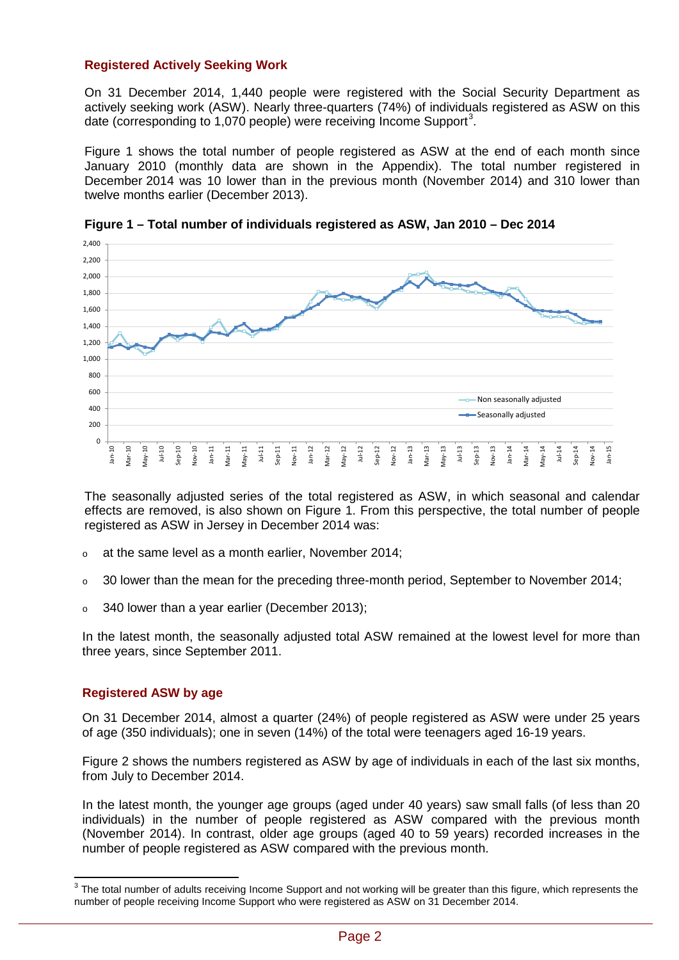### **Registered Actively Seeking Work**

On 31 December 2014, 1,440 people were registered with the Social Security Department as actively seeking work (ASW). Nearly three-quarters (74%) of individuals registered as ASW on this date (corresponding to 1,070 people) were receiving Income Support<sup>[3](#page-1-0)</sup>.

Figure 1 shows the total number of people registered as ASW at the end of each month since January 2010 (monthly data are shown in the Appendix). The total number registered in December 2014 was 10 lower than in the previous month (November 2014) and 310 lower than twelve months earlier (December 2013).



**Figure 1 – Total number of individuals registered as ASW, Jan 2010 – Dec 2014**

The seasonally adjusted series of the total registered as ASW, in which seasonal and calendar effects are removed, is also shown on Figure 1. From this perspective, the total number of people registered as ASW in Jersey in December 2014 was:

- <sup>o</sup> at the same level as a month earlier, November 2014;
- $\circ$  30 lower than the mean for the preceding three-month period, September to November 2014;
- <sup>o</sup> 340 lower than a year earlier (December 2013);

In the latest month, the seasonally adjusted total ASW remained at the lowest level for more than three years, since September 2011.

#### **Registered ASW by age**

On 31 December 2014, almost a quarter (24%) of people registered as ASW were under 25 years of age (350 individuals); one in seven (14%) of the total were teenagers aged 16-19 years.

Figure 2 shows the numbers registered as ASW by age of individuals in each of the last six months, from July to December 2014.

In the latest month, the younger age groups (aged under 40 years) saw small falls (of less than 20 individuals) in the number of people registered as ASW compared with the previous month (November 2014). In contrast, older age groups (aged 40 to 59 years) recorded increases in the number of people registered as ASW compared with the previous month.

<span id="page-1-0"></span> $3$  The total number of adults receiving Income Support and not working will be greater than this figure, which represents the number of people receiving Income Support who were registered as ASW on 31 December 2014.  $\overline{\phantom{a}}$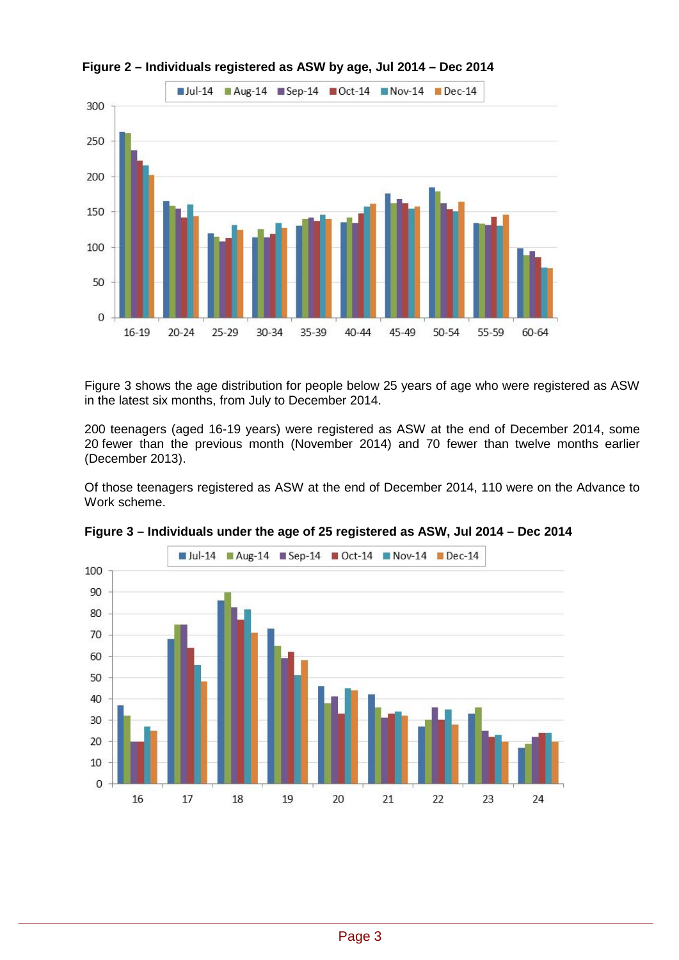

**Figure 2 – Individuals registered as ASW by age, Jul 2014 – Dec 2014**

Figure 3 shows the age distribution for people below 25 years of age who were registered as ASW in the latest six months, from July to December 2014.

200 teenagers (aged 16-19 years) were registered as ASW at the end of December 2014, some 20 fewer than the previous month (November 2014) and 70 fewer than twelve months earlier (December 2013).

Of those teenagers registered as ASW at the end of December 2014, 110 were on the Advance to Work scheme.



**Figure 3 – Individuals under the age of 25 registered as ASW, Jul 2014 – Dec 2014**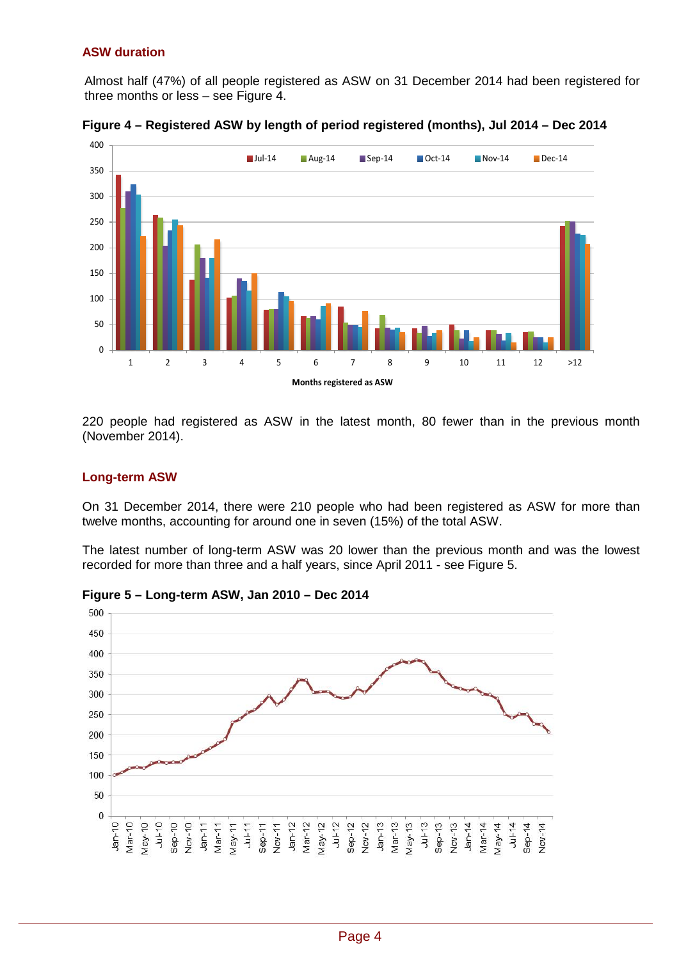### **ASW duration**

Almost half (47%) of all people registered as ASW on 31 December 2014 had been registered for three months or less – see Figure 4.



**Figure 4 – Registered ASW by length of period registered (months), Jul 2014 – Dec 2014**

220 people had registered as ASW in the latest month, 80 fewer than in the previous month (November 2014).

#### **Long-term ASW**

On 31 December 2014, there were 210 people who had been registered as ASW for more than twelve months, accounting for around one in seven (15%) of the total ASW.

The latest number of long-term ASW was 20 lower than the previous month and was the lowest recorded for more than three and a half years, since April 2011 - see Figure 5.



**Figure 5 – Long-term ASW, Jan 2010 – Dec 2014**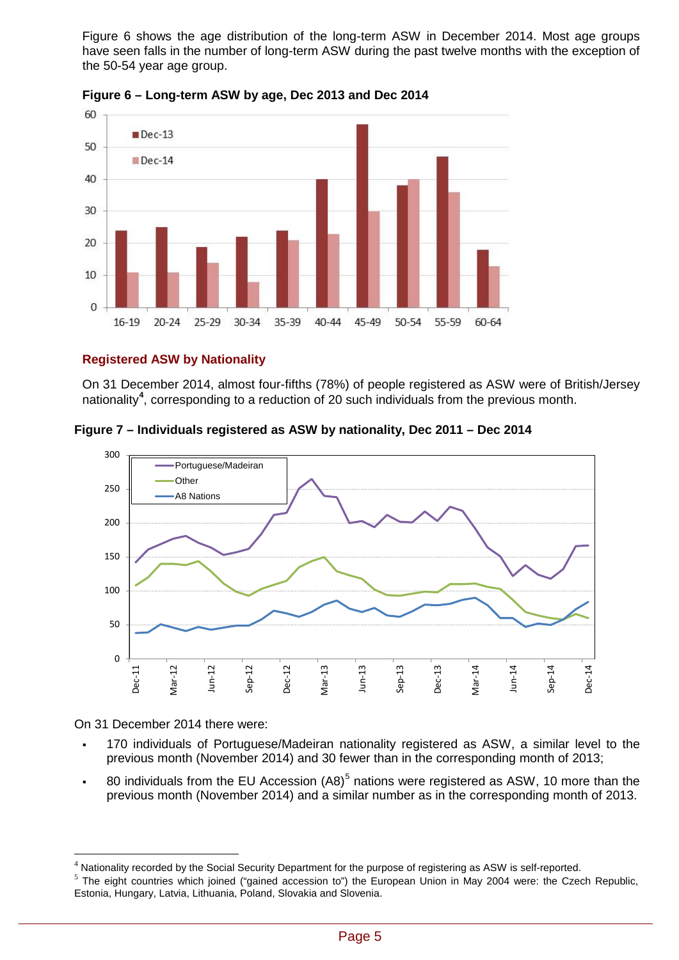Figure 6 shows the age distribution of the long-term ASW in December 2014. Most age groups have seen falls in the number of long-term ASW during the past twelve months with the exception of the 50-54 year age group.



**Figure 6 – Long-term ASW by age, Dec 2013 and Dec 2014**

## **Registered ASW by Nationality**

On 31 December 2014, almost four-fifths (78%) of people registered as ASW were of British/Jersey nationality**[4](#page-4-0)** , corresponding to a reduction of 20 such individuals from the previous month.

**Figure 7 – Individuals registered as ASW by nationality, Dec 2011 – Dec 2014**



On 31 December 2014 there were:

 $\overline{a}$ 

- 170 individuals of Portuguese/Madeiran nationality registered as ASW, a similar level to the previous month (November 2014) and 30 fewer than in the corresponding month of 2013;
- 80 individuals from the EU Accession  $(AB)^5$  $(AB)^5$  nations were registered as ASW, 10 more than the previous month (November 2014) and a similar number as in the corresponding month of 2013.

<span id="page-4-0"></span><sup>&</sup>lt;sup>4</sup> Nationality recorded by the Social Security Department for the purpose of registering as ASW is self-reported.

<span id="page-4-1"></span> $<sup>5</sup>$  The eight countries which joined ("gained accession to") the European Union in May 2004 were: the Czech Republic,</sup> Estonia, Hungary, Latvia, Lithuania, Poland, Slovakia and Slovenia.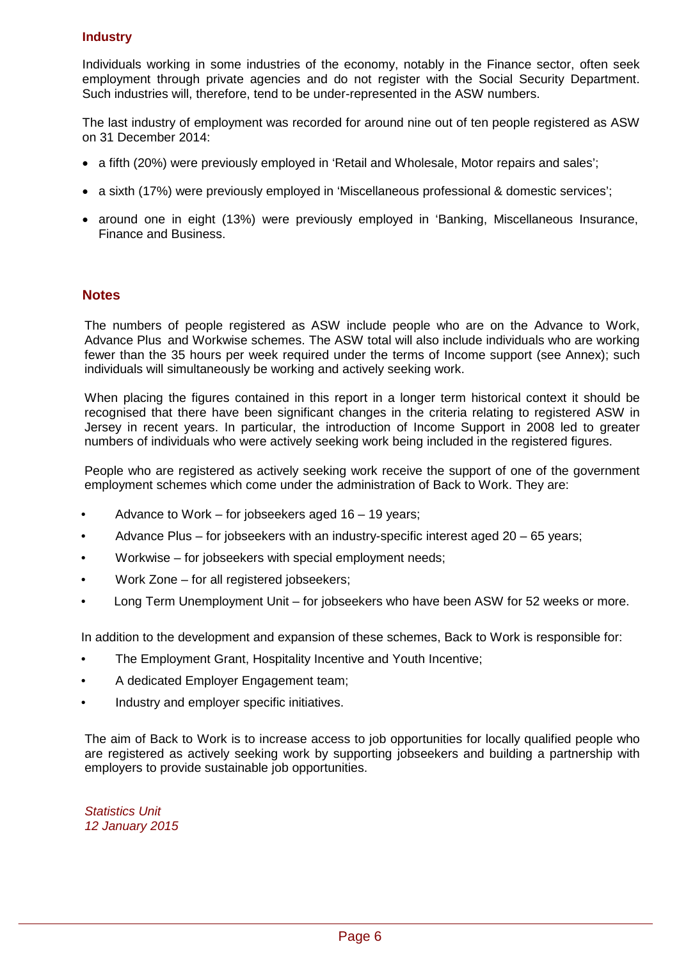## **Industry**

Individuals working in some industries of the economy, notably in the Finance sector, often seek employment through private agencies and do not register with the Social Security Department. Such industries will, therefore, tend to be under-represented in the ASW numbers.

The last industry of employment was recorded for around nine out of ten people registered as ASW on 31 December 2014:

- a fifth (20%) were previously employed in 'Retail and Wholesale, Motor repairs and sales';
- a sixth (17%) were previously employed in 'Miscellaneous professional & domestic services';
- around one in eight (13%) were previously employed in 'Banking, Miscellaneous Insurance, Finance and Business.

#### **Notes**

The numbers of people registered as ASW include people who are on the Advance to Work, Advance Plus and Workwise schemes. The ASW total will also include individuals who are working fewer than the 35 hours per week required under the terms of Income support (see Annex); such individuals will simultaneously be working and actively seeking work.

When placing the figures contained in this report in a longer term historical context it should be recognised that there have been significant changes in the criteria relating to registered ASW in Jersey in recent years. In particular, the introduction of Income Support in 2008 led to greater numbers of individuals who were actively seeking work being included in the registered figures.

People who are registered as actively seeking work receive the support of one of the government employment schemes which come under the administration of Back to Work. They are:

- Advance to Work for jobseekers aged 16 19 years;
- Advance Plus for jobseekers with an industry-specific interest aged 20 65 years;
- Workwise for jobseekers with special employment needs;
- Work Zone for all registered jobseekers;
- Long Term Unemployment Unit for jobseekers who have been ASW for 52 weeks or more.

In addition to the development and expansion of these schemes, Back to Work is responsible for:

- The Employment Grant, Hospitality Incentive and Youth Incentive;
- A dedicated Employer Engagement team;
- Industry and employer specific initiatives.

The aim of Back to Work is to increase access to job opportunities for locally qualified people who are registered as actively seeking work by supporting jobseekers and building a partnership with employers to provide sustainable job opportunities.

*Statistics Unit 12 January 2015*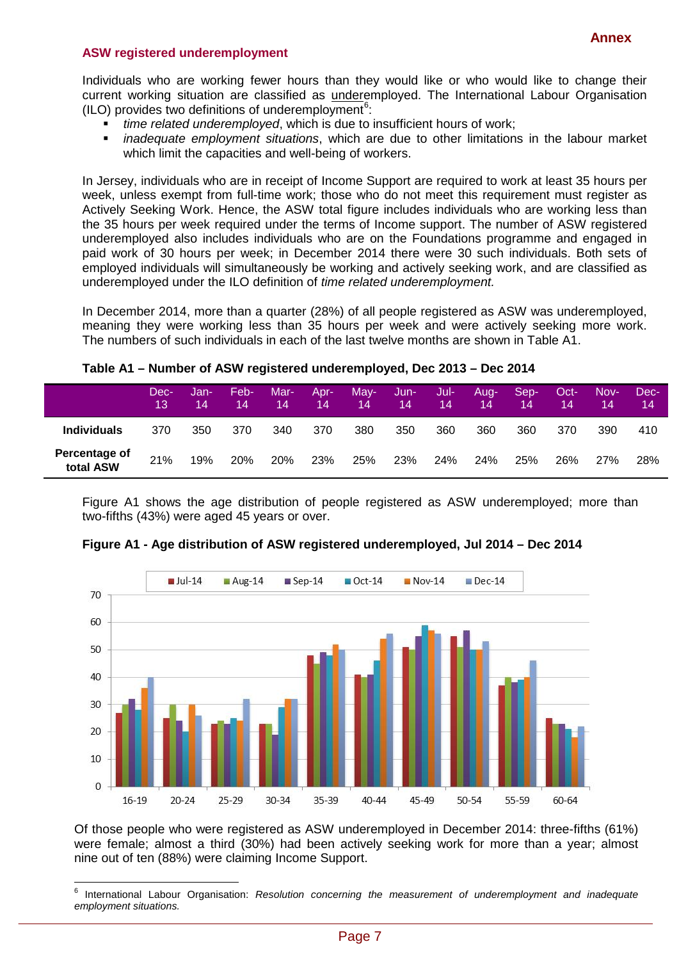#### **ASW registered underemployment**

Individuals who are working fewer hours than they would like or who would like to change their current working situation are classified as underemployed. The International Labour Organisation (ILO) provides two definitions of underemployment<sup>[6](#page-6-0)</sup>:

- *time related underemployed*, which is due to insufficient hours of work;
- *inadequate employment situations*, which are due to other limitations in the labour market which limit the capacities and well-being of workers.

In Jersey, individuals who are in receipt of Income Support are required to work at least 35 hours per week, unless exempt from full-time work; those who do not meet this requirement must register as Actively Seeking Work. Hence, the ASW total figure includes individuals who are working less than the 35 hours per week required under the terms of Income support. The number of ASW registered underemployed also includes individuals who are on the Foundations programme and engaged in paid work of 30 hours per week; in December 2014 there were 30 such individuals. Both sets of employed individuals will simultaneously be working and actively seeking work, and are classified as underemployed under the ILO definition of *time related underemployment.*

In December 2014, more than a quarter (28%) of all people registered as ASW was underemployed, meaning they were working less than 35 hours per week and were actively seeking more work. The numbers of such individuals in each of the last twelve months are shown in Table A1.

| Table A1 – Number of ASW registered underemployed, Dec 2013 – Dec 2014 |  |
|------------------------------------------------------------------------|--|
|                                                                        |  |

|                            | Dec-<br>13 | Jan-<br>14 | Feb-<br>14 | Mar-<br>14 | Apr-<br>14 | May-<br>14 | Jun-<br>$\mathbf{14}$ | Jul-<br>14 | Aug-<br>14 | Sep-<br>14 | Oct-<br>14 | Nov-<br>14 | Dec-<br>14 |
|----------------------------|------------|------------|------------|------------|------------|------------|-----------------------|------------|------------|------------|------------|------------|------------|
| <b>Individuals</b>         | 370        | 350        | 370        | 340        | 370        | 380        | 350                   | 360        | 360        | 360        | 370        | 390        | 410        |
| Percentage of<br>total ASW | 21%        | 19%        | 20%        | 20%        | 23%        | 25%        | 23%                   | 24%        | <b>24%</b> | 25%        | 26%        | 27%        | 28%        |

Figure A1 shows the age distribution of people registered as ASW underemployed; more than two-fifths (43%) were aged 45 years or over.



**Figure A1 - Age distribution of ASW registered underemployed, Jul 2014 – Dec 2014**

Of those people who were registered as ASW underemployed in December 2014: three-fifths (61%) were female; almost a third (30%) had been actively seeking work for more than a year; almost nine out of ten (88%) were claiming Income Support.

<span id="page-6-0"></span><sup>6</sup> International Labour Organisation: *Resolution concerning the measurement of underemployment and inadequate employment situations.*  $\overline{\phantom{a}}$